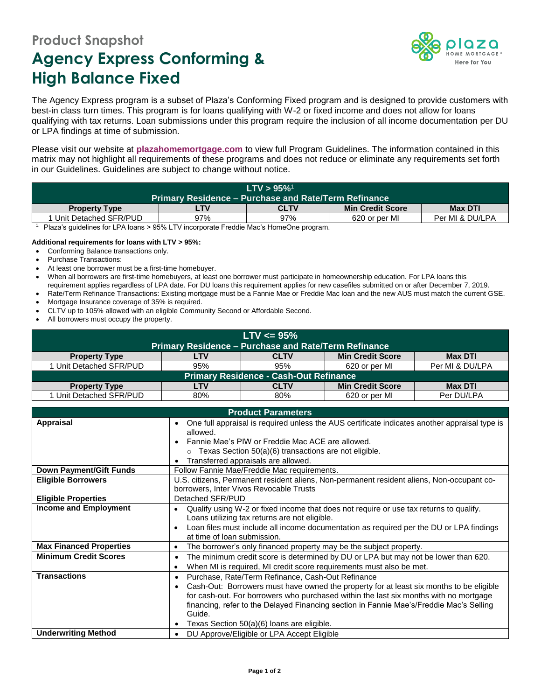## **Product Snapshot Agency Express Conforming & High Balance Fixed**



The Agency Express program is a subset of Plaza's Conforming Fixed program and is designed to provide customers with best-in class turn times. This program is for loans qualifying with W-2 or fixed income and does not allow for loans qualifying with tax returns. Loan submissions under this program require the inclusion of all income documentation per DU or LPA findings at time of submission.

Please visit our website at **[plazahomemortgage.com](http://www.plazahomemortgage.com/)** to view full Program Guidelines. The information contained in this matrix may not highlight all requirements of these programs and does not reduce or eliminate any requirements set forth in our Guidelines. Guidelines are subject to change without notice.

| $LTV > 95\%$ <sup>1</sup>                                   |     |             |                         |                 |  |  |
|-------------------------------------------------------------|-----|-------------|-------------------------|-----------------|--|--|
| <b>Primary Residence – Purchase and Rate/Term Refinance</b> |     |             |                         |                 |  |  |
| <b>Property Type</b>                                        | LTV | <b>CLTV</b> | <b>Min Credit Score</b> | <b>Max DTI</b>  |  |  |
| Unit Detached SFR/PUD                                       | 97% | 97%         | 620 or per MI           | Per MI & DU/LPA |  |  |

<sup>1.</sup> Plaza's guidelines for LPA loans  $> 95\%$  LTV incorporate Freddie Mac's HomeOne program.

## **Additional requirements for loans with LTV > 95%:**

- Conforming Balance transactions only.
- Purchase Transactions:
- At least one borrower must be a first-time homebuyer.
- When all borrowers are first-time homebuyers, at least one borrower must participate in homeownership education. For LPA loans this requirement applies regardless of LPA date. For DU loans this requirement applies for new casefiles submitted on or after December 7, 2019.
- Rate/Term Refinance Transactions: Existing mortgage must be a Fannie Mae or Freddie Mac loan and the new AUS must match the current GSE.
- Mortgage Insurance coverage of 35% is required.
- CLTV up to 105% allowed with an eligible Community Second or Affordable Second.
- All borrowers must occupy the property.

| $LTV \le 95\%$                                              |     |             |                         |                 |  |  |  |
|-------------------------------------------------------------|-----|-------------|-------------------------|-----------------|--|--|--|
| <b>Primary Residence - Purchase and Rate/Term Refinance</b> |     |             |                         |                 |  |  |  |
| <b>Property Type</b>                                        | LTV | <b>CLTV</b> | <b>Min Credit Score</b> | <b>Max DTI</b>  |  |  |  |
| 1 Unit Detached SFR/PUD                                     | 95% | 95%         | 620 or per MI           | Per MI & DU/LPA |  |  |  |
| <b>Primary Residence - Cash-Out Refinance</b>               |     |             |                         |                 |  |  |  |
| <b>Property Type</b>                                        | LTV | <b>CLTV</b> | <b>Min Credit Score</b> | <b>Max DTI</b>  |  |  |  |
| 1 Unit Detached SFR/PUD                                     | 80% | 80%         | 620 or per MI           | Per DU/LPA      |  |  |  |

| <b>Product Parameters</b>      |                                                                                                                                                                                                                                                                                                                                                                                          |  |  |
|--------------------------------|------------------------------------------------------------------------------------------------------------------------------------------------------------------------------------------------------------------------------------------------------------------------------------------------------------------------------------------------------------------------------------------|--|--|
| <b>Appraisal</b>               | One full appraisal is required unless the AUS certificate indicates another appraisal type is<br>allowed.<br>Fannie Mae's PIW or Freddie Mac ACE are allowed.<br>$\circ$ Texas Section 50(a)(6) transactions are not eligible.<br>Transferred appraisals are allowed.                                                                                                                    |  |  |
| <b>Down Payment/Gift Funds</b> | Follow Fannie Mae/Freddie Mac requirements.                                                                                                                                                                                                                                                                                                                                              |  |  |
| <b>Eligible Borrowers</b>      | U.S. citizens, Permanent resident aliens, Non-permanent resident aliens, Non-occupant co-<br>borrowers, Inter Vivos Revocable Trusts                                                                                                                                                                                                                                                     |  |  |
| <b>Eligible Properties</b>     | Detached SFR/PUD                                                                                                                                                                                                                                                                                                                                                                         |  |  |
| <b>Income and Employment</b>   | Qualify using W-2 or fixed income that does not require or use tax returns to qualify.<br>٠<br>Loans utilizing tax returns are not eligible.<br>Loan files must include all income documentation as required per the DU or LPA findings<br>$\bullet$<br>at time of loan submission.                                                                                                      |  |  |
| <b>Max Financed Properties</b> | The borrower's only financed property may be the subject property.<br>$\bullet$                                                                                                                                                                                                                                                                                                          |  |  |
| <b>Minimum Credit Scores</b>   | The minimum credit score is determined by DU or LPA but may not be lower than 620.<br>$\bullet$<br>When MI is required, MI credit score requirements must also be met.<br>$\bullet$                                                                                                                                                                                                      |  |  |
| <b>Transactions</b>            | Purchase, Rate/Term Refinance, Cash-Out Refinance<br>Cash-Out: Borrowers must have owned the property for at least six months to be eligible<br>for cash-out. For borrowers who purchased within the last six months with no mortgage<br>financing, refer to the Delayed Financing section in Fannie Mae's/Freddie Mac's Selling<br>Guide.<br>Texas Section 50(a)(6) loans are eligible. |  |  |
| <b>Underwriting Method</b>     | DU Approve/Eligible or LPA Accept Eligible                                                                                                                                                                                                                                                                                                                                               |  |  |